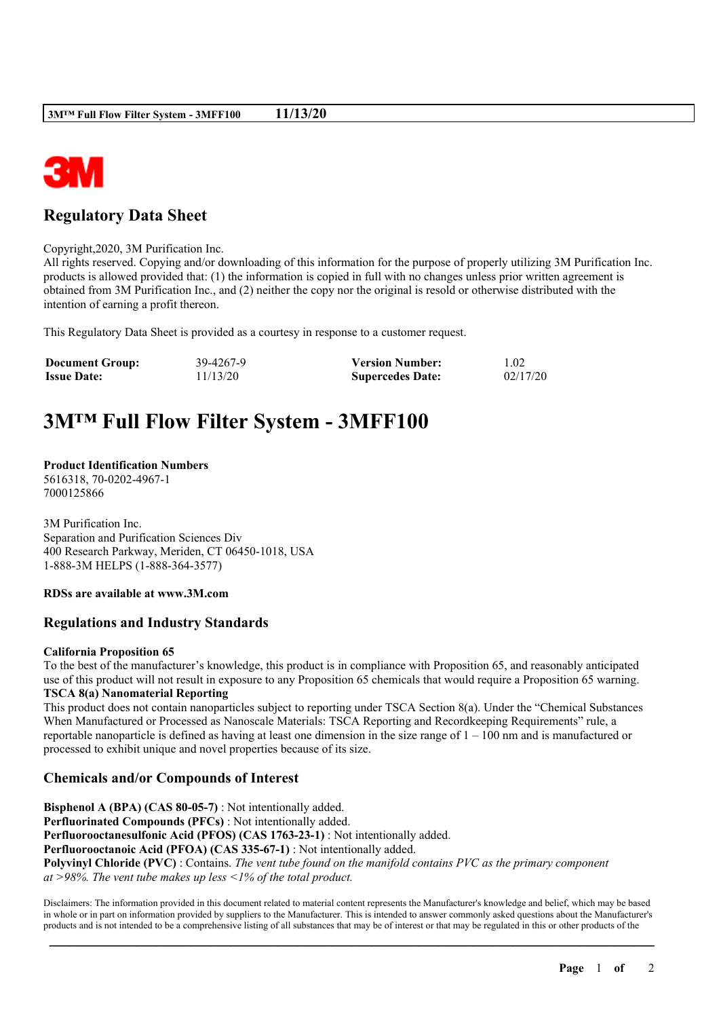

## **Regulatory Data Sheet**

Copyright,2020, 3M Purification Inc.

All rights reserved. Copying and/or downloading of this information for the purpose of properly utilizing 3M Purification Inc. products is allowed provided that: (1) the information is copied in full with no changes unless prior written agreement is obtained from 3M Purification Inc., and (2) neither the copy nor the original is resold or otherwise distributed with the intention of earning a profit thereon.

This Regulatory Data Sheet is provided as a courtesy in response to a customer request.

| <b>Document Group:</b> | 39-4267-9 | <b>Version Number:</b>  | 1.02     |
|------------------------|-----------|-------------------------|----------|
| <b>Issue Date:</b>     | 11/13/20  | <b>Supercedes Date:</b> | 02/17/20 |

# **3M™ Full Flow Filter System - 3MFF100**

#### **Product Identification Numbers**

5616318, 70-0202-4967-1 7000125866

3M Purification Inc. Separation and Purification Sciences Div 400 Research Parkway, Meriden, CT 06450-1018, USA 1-888-3M HELPS (1-888-364-3577)

**RDSs are available at www.3M.com**

#### **Regulations and Industry Standards**

#### **California Proposition 65**

To the best of the manufacturer's knowledge, this product is in compliance with Proposition 65, and reasonably anticipated use of this product will not result in exposure to any Proposition 65 chemicals that would require a Proposition 65 warning. **TSCA 8(a) Nanomaterial Reporting**

This product does not contain nanoparticles subject to reporting under TSCA Section 8(a). Under the "Chemical Substances When Manufactured or Processed as Nanoscale Materials: TSCA Reporting and Recordkeeping Requirements" rule, a reportable nanoparticle is defined as having at least one dimension in the size range of  $1 - 100$  nm and is manufactured or processed to exhibit unique and novel properties because of its size.

### **Chemicals and/or Compounds of Interest**

**Bisphenol A (BPA) (CAS 80-05-7)** : Not intentionally added. **Perfluorinated Compounds (PFCs)** : Not intentionally added. **Perfluorooctanesulfonic Acid (PFOS) (CAS 1763-23-1)** : Not intentionally added. **Perfluorooctanoic Acid (PFOA) (CAS 335-67-1)** : Not intentionally added. **Polyvinyl Chloride (PVC)** : Contains. *The vent tube found on the manifold contains PVC as the primary component at >98%. The vent tube makes up less <1% of the total product.*

Disclaimers: The information provided in this document related to material content represents the Manufacturer's knowledge and belief, which may be based in whole or in part on information provided by suppliers to the Manufacturer. This is intended to answer commonly asked questions about the Manufacturer's products and is not intended to be a comprehensive listing of all substances that may be of interest or that may be regulated in this or other products of the

\_\_\_\_\_\_\_\_\_\_\_\_\_\_\_\_\_\_\_\_\_\_\_\_\_\_\_\_\_\_\_\_\_\_\_\_\_\_\_\_\_\_\_\_\_\_\_\_\_\_\_\_\_\_\_\_\_\_\_\_\_\_\_\_\_\_\_\_\_\_\_\_\_\_\_\_\_\_\_\_\_\_\_\_\_\_\_\_\_\_